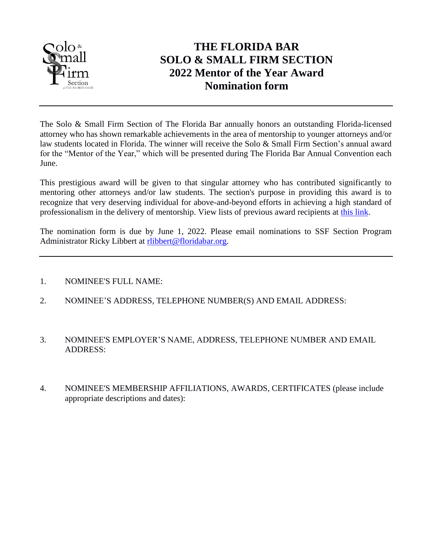

## **THE FLORIDA BAR SOLO & SMALL FIRM SECTION 2022 Mentor of the Year Award Nomination form**

The Solo & Small Firm Section of The Florida Bar annually honors an outstanding Florida-licensed attorney who has shown remarkable achievements in the area of mentorship to younger attorneys and/or law students located in Florida. The winner will receive the Solo & Small Firm Section's annual award for the "Mentor of the Year," which will be presented during The Florida Bar Annual Convention each June.

This prestigious award will be given to that singular attorney who has contributed significantly to mentoring other attorneys and/or law students. The section's purpose in providing this award is to recognize that very deserving individual for above-and-beyond efforts in achieving a high standard of professionalism in the delivery of mentorship. View lists of previous award recipients at [this link.](http://www.flsolosmallfirm.org/awards-and-history.php)

The nomination form is due by June 1, 2022. Please email nominations to SSF Section Program Administrator Ricky Libbert at [rlibbert@floridabar.org.](mailto:rlibbert@floridabar.org)

- 1. NOMINEE'S FULL NAME:
- 2. NOMINEE'S ADDRESS, TELEPHONE NUMBER(S) AND EMAIL ADDRESS:
- 3. NOMINEE'S EMPLOYER'S NAME, ADDRESS, TELEPHONE NUMBER AND EMAIL ADDRESS:
- 4. NOMINEE'S MEMBERSHIP AFFILIATIONS, AWARDS, CERTIFICATES (please include appropriate descriptions and dates):